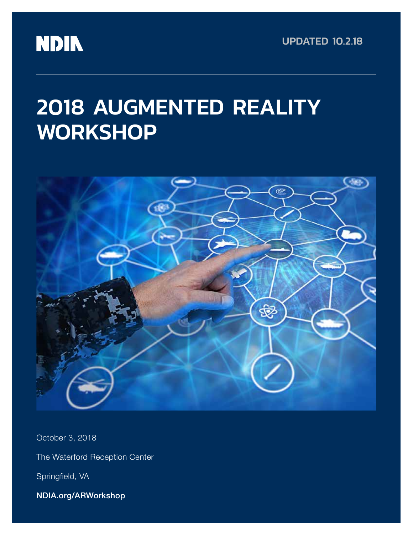# **NDIN**

UPDATED 10.2.18

# 2018 AUGMENTED REALITY **WORKSHOP**



October 3, 2018 The Waterford Reception Center Springfield, VA NDIA.org/ARWorkshop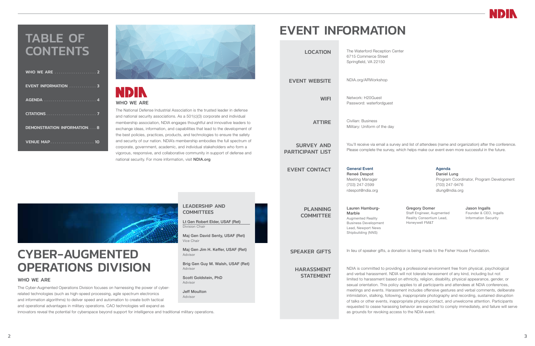

Maj Gen Jim H. Keffer, USAF (Ret)

Advisor

Brig Gen Guy M. Walsh, USAF (Ret)

Advisor

Scott Goldstein, PhD

Advisor

Jeff Moulton Advisor

# CYBER-AUGMENTED OPERATIONS DIVISION

#### WHO WE ARE

## **NDIN** WHO WE ARE

The Cyber-Augmented Operations Division focuses on harnessing the power of cyberrelated technologies (such as high-speed processing, agile spectrum electronics and information algorithms) to deliver speed and automation to create both tactical and operational advantages in military operations. CAO technologies will expand as

innovators reveal the potential for cyberspace beyond support for intelligence and traditional military operations.

# TABLE OF **CONTENTS**

The National Defense Industrial Association is the trusted leader in defense and national security associations. As a 501(c)(3) corporate and individual membership association, NDIA engages thoughtful and innovative leaders to exchange ideas, information, and capabilities that lead to the development of the best policies, practices, products, and technologies to ensure the safety and security of our nation. NDIA's membership embodies the full spectrum of corporate, government, academic, and individual stakeholders who form a vigorous, responsive, and collaborative community in support of defense and national security. For more information, visit NDIA.org

| WHO WE ARE <b>WARD MEDICAL MEDICAL PROPERTY</b> |
|-------------------------------------------------|
| <b>EVENT INFORMATION  3</b>                     |
| AGENDA  4                                       |
|                                                 |
| <b>DEMONSTRATION INFORMATION 8</b>              |
| <b>VENUE MAP 10</b>                             |



# EVENT INFORMATION

| <b>LOCATION</b>                              | The Waterford Reception Center<br>6715 Commerce Street<br>Springfield, VA 22150                                                                                                                                                                                                                                                  |  |
|----------------------------------------------|----------------------------------------------------------------------------------------------------------------------------------------------------------------------------------------------------------------------------------------------------------------------------------------------------------------------------------|--|
| <b>EVENT WEBSITE</b>                         | NDIA.org/ARWorkshop                                                                                                                                                                                                                                                                                                              |  |
| <b>WIFI</b>                                  | Network: H20Guest<br>Password: waterfordguest                                                                                                                                                                                                                                                                                    |  |
| <b>ATTIRE</b>                                | Civilian: Business<br>Military: Uniform of the day                                                                                                                                                                                                                                                                               |  |
| <b>SURVEY AND</b><br><b>PARTICIPANT LIST</b> | You'll receive via email a survey a<br>Please complete the survey, whic                                                                                                                                                                                                                                                          |  |
| <b>EVENT CONTACT</b>                         | <b>General Event</b><br>Reneé Despot<br>Meeting Manager<br>(703) 247-2599<br>rdespot@ndia.org                                                                                                                                                                                                                                    |  |
| <b>PLANNING</b><br><b>COMMITTEE</b>          | Lauren Hamburg-<br>Marble<br><b>Augmented Reality</b><br><b>Business Development</b><br>Lead, Newport News<br>Shipbuilding (NNS)                                                                                                                                                                                                 |  |
| <b>SPEAKER GIFTS</b>                         | In lieu of speaker gifts, a donatic                                                                                                                                                                                                                                                                                              |  |
| <b>HARASSMENT</b><br><b>STATEMENT</b>        | NDIA is committed to providing a<br>and verbal harassment. NDIA wi<br>limited to harassment based on<br>sexual orientation. This policy ap<br>meetings and events. Harassme<br>intimidation, stalking, following, i<br>of talks or other events, inapprop<br>requested to cease harassing be<br>as grounds for revoking access t |  |



rvey and list of attendees (name and organization) after the conference. which helps make our event even more successful in the future.

#### Agenda Daniel Lung

Program Coordinator, Program Development (703) 247-9476 dlung@ndia.org

Gregory Domer Staff Engineer, Augmented Reality Consortium Lead, Honeywell FM&T

Jason Ingalls Founder & CEO, Ingalls Information Security

onation is being made to the Fisher House Foundation.

iding a professional environment free from physical, psychological DIA will not tolerate harassment of any kind, including but not ed on ethnicity, religion, disability, physical appearance, gender, or licy applies to all participants and attendees at NDIA conferences, issment includes offensive gestures and verbal comments, deliberate ving, inappropriate photography and recording, sustained disruption appropriate physical contact, and unwelcome attention. Participants ing behavior are expected to comply immediately, and failure will serve cess to the NDIA event.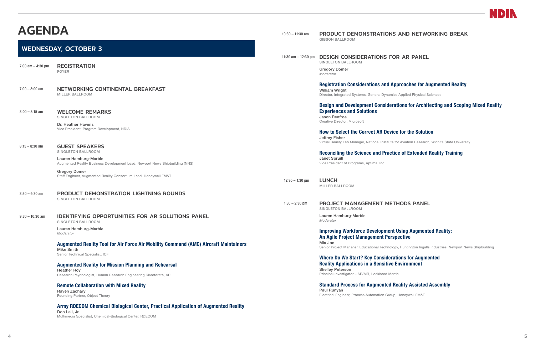## AGENDA

## WEDNESDAY, OCTOBER 3

7:00 am – 4:30 pm REGISTRATION FOYER

#### 7:00 – 8:00 am NETWORKING CONTINENTAL BREAKFAST MILLER BALLROOM

8:00 – 8:15 am WELCOME REMARKS SINGLETON BALLROOM

> Dr. Heather Havens Vice President, Program Development, NDIA

8:15 – 8:30 am **GUEST SPEAKERS** 

SINGLETON BALLROOM

Lauren Hamburg-Marble Augmented Reality Business Development Lead, Newport News Shipbuilding (NNS)

Gregory Domer Staff Engineer, Augmented Reality Consortium Lead, Honeywell FM&T

8:30 – 9:30 am PRODUCT DEMONSTRATION LIGHTNING ROUNDS SINGLETON BALLROOM

9:30 – 10:30 am IDENTIFYING OPPORTUNITIES FOR AR SOLUTIONS PANEL SINGLETON BALLROOM

Lauren Hamburg-Marble

*Moderator*

#### Augmented Reality Tool for Air Force Air Mobility Command (AMC) Aircraft Maintainers Mike Smith

Senior Technical Specialist, ICF

#### Augmented Reality for Mission Planning and Rehearsal

Heather Roy Research Psychologist, Human Research Engineering Directorate, ARL

#### Remote Collaboration with Mixed Reality

Raven Zachary Founding Partner, Object Theory

### Army RDECOM Chemical Biological Center, Practical Application of Augmented Reality

Don Lail, Jr. Multimedia Specialist, Chemical-Biological Center, RDECOM

#### 10:30 – 11:30 am PRODUCT DEMONSTRATIONS AND NETWORKING BREAK GIBSON BALLROOM

11:30 am – 12:30 pm DESIGN CONSIDERATIONS FOR AR PANEL SINGLETON BALLROOM

> Gregory Domer *Moderator*

### Registration Considerations and Approaches for Augmented Reality

William Wright

Director, Integrated Systems, General Dynamics Applied Physical Sciences

### Design and Development Considerations for Architecting and Scoping Mixed Reality

## Experiences and Solutions

Jason Renfroe Creative Director, Microsoft

How to Select the Correct AR Device for the Solution Jeffrey Fisher

Virtual Reality Lab Manager, National Institute for Aviation Research, Wichita State University

### Reconciling the Science and Practice of Extended Reality Training

Janet Spruill Vice President of Programs, Aptima, Inc.

12:30 – 1:30 pm LUNCH

MILLER BALLROOM

1:30 – 2:30 pm PROJECT MANAGEMENT METHODS PANEL SINGLETON BALLROOM

> Lauren Hamburg-Marble *Moderator*

Improving Workforce Development Using Augmented Reality: An Agile Project Management Perspective Mia Joe Senior Project Manager, Educational Technology, Huntington Ingalls Industries, Newport News Shipbuilding

Where Do We Start? Key Considerations for Augmented Reality Applications in a Sensitive Environment

Shelley Peterson Principal Investigator – AR/MR, Lockheed Martin

Standard Process for Augmented Reality Assisted Assembly Paul Runyan Electrical Engineer, Process Automation Group, Honeywell FM&T

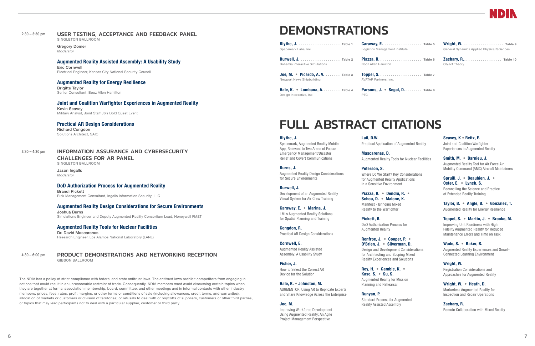### 2:30 – 3:30 pm USER TESTING, ACCEPTANCE AND FEEDBACK PANEL

SINGLETON BALLROOM

Gregory Domer *Moderator*

#### Augmented Reality Assisted Assembly: A Usability Study

Eric Cornwell Electrical Engineer, Kansas City National Security Council

### Augmented Reality for Energy Resilience

Brigitte Taylor Senior Consultant, Booz Allen Hamilton

### Joint and Coalition Warfighter Experiences in Augmented Reality

Kevin Seavey Military Analyst, Joint Staff J6's Bold Quest Event

#### Practical AR Design Considerations

Richard Congdon Solutions Architect, SAIC

### 3:30 – 4:30 pm INFORMATION ASSURANCE AND CYBERSECURITY

CHALLENGES FOR AR PANEL SINGLETON BALLROOM

Jason Ingalls *Moderator*

#### DoD Authorization Process for Augmented Reality

Brandi Pickett Risk Management Consultant, Ingalls Information Security, LLC

#### Augmented Reality Design Considerations for Secure Environments

Joshua Burns Simulations Engineer and Deputy Augmented Reality Consortium Lead, Honeywell FM&T

#### Augmented Reality Tools for Nuclear Facilities Dr. David Mascarenas

Research Engineer, Los Alamos National Laboratory (LANL)

Joe, M. • Picardo, A. V. . . . . . . . Table 3 Newport News Shipbuilding

Hale, K. • Lombana, A.......... Table 4 Design Interactive, Inc.

 $Carawav, E.$ .... Logistics Management

#### 4:30 – 6:00 pm PRODUCT DEMONSTRATIONS AND NETWORKING RECEPTION GIBSON BALLROOM

Piazza, R. . . . . . . . Booz Allen Hamilton

Parsons, J. . Segal PTC

The NDIA has a policy of strict compliance with federal and state antitrust laws. The antitrust laws prohibit competitors from engaging in actions that could result in an unreasonable restraint of trade. Consequently, NDIA members must avoid discussing certain topics when they are together at formal association membership, board, committee, and other meetings and in informal contacts with other industry members: prices, fees, rates, profit margins, or other terms or conditions of sale (including allowances, credit terms, and warranties); allocation of markets or customers or division of territories; or refusals to deal with or boycotts of suppliers, customers or other third parties, or topics that may lead participants not to deal with a particular supplier, customer or third party.

## DEMONSTRATIONS

Blythe, J. .................... Table 1 Spacemark Labs, Inc.

Burwell, J. ................... Table 2 Bohemia Interactive Simulations

> Toppel, S. .................... Table 7 AVATAR Partners, Inc.

| Table 5<br>t Institute     | Wright, W.  Table 9<br><b>General Dynamics Applied Physical Sciences</b> |  |  |
|----------------------------|--------------------------------------------------------------------------|--|--|
| Table 6                    | <b>Zachary, R</b> Table 10<br>Object Theory                              |  |  |
| Table 7                    |                                                                          |  |  |
| 0al. D. Table 8 $^{\circ}$ |                                                                          |  |  |

#### Blythe, J.

Spacemark, Augmented Reality Mobile App, Relevant to Two Areas of Focus: Emergency Management/Disaster Relief and Covert Communications

#### Burns, J.

Augmented Reality Design Considerations for Secure Environments

Burwell, J. Development of an Augmented Reality Visual System for Air Crew Training

Caraway, E. • Marina, J. LMI's Augmented Reality Solutions for Spatial Planning and Training

Congdon, R. Practical AR Design Considerations

Cornwell, E. Augmented Reality Assisted Assembly: A Usability Study

Fisher, J.

How to Select the Correct AR Device for the Solution

Hale, K. • Johnston, M.

AUGMENTOR, Using AR to Replicate Experts and Share Knowledge Across the Enterprise

#### Joe, M.

Improving Workforce Development Using Augmented Reality; An Agile Project Management Perspective

# Lail, D.W.



Practical Application of Augmented Reality

Mascarenas, D. Augmented Reality Tools for Nuclear Facilities

Peterson, S.

Where Do We Start? Key Considerations for Augmented Reality Applications in a Sensitive Environment

#### Piazza, R. • Dendiu, R. • Schou, D. • Malone, K.

Manifest - Bringing Mixed Reality to the Warfighter

Pickett, B.

DoD Authorization Process for

Augmented Reality

#### Renfroe, J. • Cooper, P. • O'Brien, J. • Silverman, D.

Design and Development Considerations for Architecting and Scoping Mixed Reality Experiences and Solutions

#### Roy, H. • Gamble, K. • Kase, S. • Su, S.

Augmented Reality for Mission Planning and Rehearsal

Runyan, P.

Standard Process for Augmented Reality Assisted Assembly

Seavey, K • Reitz, E. Joint and Coalition Warfighter Experiences in Augmented Reality

Smith, M. • Barnieu, J. Augmented Reality Tool for Air Force Air Mobility Command (AMC) Aircraft Maintainers

#### Spruill, J. • Beaubien, J. • Oster, E. • Lynch, S.

Reconciling the Science and Practice of Extended Reality Training

Taylor, B. • Angle, B. • Gonzalez, T.

Augmented Reality for Energy Resilience

#### Toppel, S. • Martin, J. • Brooke, M.

Improving Unit Readiness with High Fidelity Augmented Reality for Reduced Maintenance Errors and Time on Task

#### Wade, S. • Baker, B.

Augmented Reality Experiences and Smart-Connected Learning Environment

Wright, W.

Registration Considerations and Approaches for Augmented Reality

#### Wright, W. • Heath, D.

Markerless Augmented Reality for Inspection and Repair Operations

Zachary, R. Remote Collaboration with Mixed Reality

# FULL ABSTRACT CITATIONS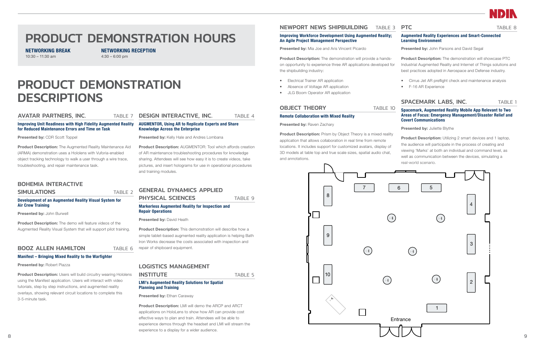

TABLE 8

# PRODUCT DEMONSTRATION DESCRIPTIONS

#### AVATAR PARTNERS, INC. TABLE 7

#### Improving Unit Readiness with High Fidelity Augmented Reality for Reduced Maintenance Errors and Time on Task

Presented by: CDR Scott Toppel

Product Description: The Augmented Reality Maintenance Aid (ARMA) demonstration uses a Hololens with Vuforia-enabled object tracking technology to walk a user through a wire trace, troubleshooting, and repair maintenance task.

Product Description: The demo will feature videos of the Augmented Reality Visual System that will support pilot training.

### **BOOZ ALLEN HAMILTON TABLE 6**

### BOHEMIA INTERACTIVE

#### **SIMULATIONS** TABLE 2

#### Development of an Augmented Reality Visual System for Air Crew Training

Presented by: John Burwell

**Product Description:** Users will build circuitry wearing Hololens using the Manifest application. Users will interact with video tutorials, step by step instructions, and augmented reality overlays, showing relevant circuit locations to complete this 3-5-minute task.

### **DESIGN INTERACTIVE, INC.** TABLE 4

### GENERAL DYNAMICS APPLIED **PHYSICAL SCIENCES** TABLE 9

#### Manifest – Bringing Mixed Reality to the Warfighter

Presented by: Robert Piazza

Product Description: This demonstration will describe how a simple tablet-based augmented reality application is helping Bath Iron Works decrease the costs associated with inspection and repair of shipboard equipment.

Product Description: LMI will demo the ARCP and ARCT applications on HoloLens to show how AR can provide cost effective ways to plan and train. Attendees will be able to experience demos through the headset and LMI will stream the experience to a display for a wider audience.

### NEWPORT NEWS SHIPBUILDING TABLE 3 PTC

#### AUGMENTOR, Using AR to Replicate Experts and Share Knowledge Across the Enterprise

Presented by: Kelly Hale and Andres Lombana

Product Description: The demonstration will provide a handson opportunity to experience three AR applications developed for the shipbuilding industry:

Product Description: AUGMENTOR: Tool which affords creation of AR maintenance troubleshooting procedures for knowledge sharing. Attendees will see how easy it is to create videos, take pictures, and insert holograms for use in operational procedures and training modules.

Product Description: Prism by Object Theory is a mixed reality application that allows collaboration in real time from remote locations. It includes support for customized avatars, display of 3D models at table top and true scale sizes, spatial audio chat, and annotations.

#### Markerless Augmented Reality for Inspection and Repair Operations

Presented by: David Heath

### LOGISTICS MANAGEMENT

### INSTITUTE TABLE 5

#### LMI's Augmented Reality Solutions for Spatial Planning and Training

Presented by: Ethan Caraway

Product Description: Utilizing 2 smart devices and 1 laptop, the audience will participate in the process of creating and viewing 'Marks' at both an individual and command level, as well as communication between the devices, simulating a real-world scenario.

# PRODUCT DEMONSTRATION HOURS

NETWORKING BREAK 10:30 – 11:30 am

NETWORKING RECEPTION

4:30 – 6:00 pm

#### Improving Workforce Development Using Augmented Reality; An Agile Project Management Perspective

Presented by: Mia Joe and Aris Vincent Picardo

- Electrical Trainer AR application
- Absence of Voltage AR application
- JLG Boom Operator AR application

#### **OBJECT THEORY** TABLE 10  $\overline{\phantom{a}}$

#### Remote Collaboration with Mixed Reality

Presented by: Raven Zachary

Augmented Reality Experiences and Smart-Connected Learning Environment

Presented by: John Parsons and David Segal

- Product Description: The demonstration will showcase PTC Industrial Augmented Reality and Internet of Things solutions and best practices adopted in Aerospace and Defense industry.
	- Cirrus Jet AR preflight check and maintenance analysis
	- F-16 AR Experience

### SPACEMARK LABS, INC. TABLE 1

Spacemark, Augmented Reality Mobile App Relevant to Two Areas of Focus: Emergency Management/Disaster Relief and Covert Communications

Presented by: Juliette Blythe

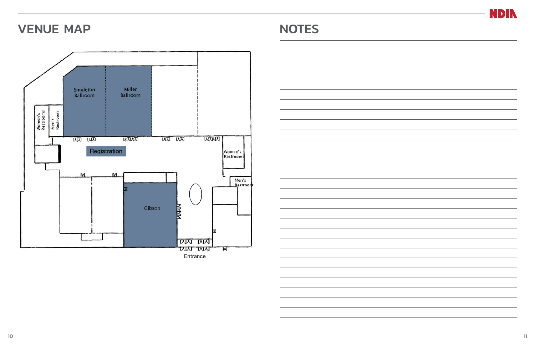

|  |  | ÷, |
|--|--|----|
|  |  |    |
|  |  |    |
|  |  |    |
|  |  |    |
|  |  |    |

# VENUE MAP NOTES